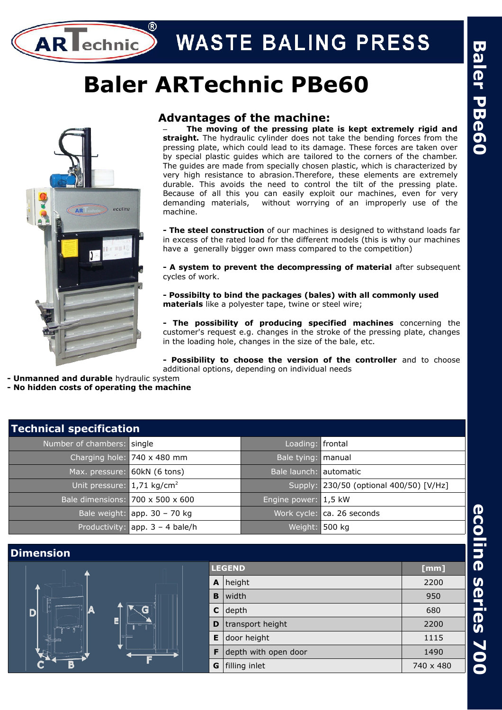# **WASTE BALING PRESS**

# **Baler ARTechnic PBe60**



AR I

lechnic

# **Advantages of the machine:**

– **The moving of the pressing plate is kept extremely rigid and straight.** The hydraulic cylinder does not take the bending forces from the pressing plate, which could lead to its damage. These forces are taken over by special plastic guides which are tailored to the corners of the chamber. The guides are made from specially chosen plastic, which is characterized by very high resistance to abrasion.Therefore, these elements are extremely durable. This avoids the need to control the tilt of the pressing plate. Because of all this you can easily exploit our machines, even for very demanding materials, without worrying of an improperly use of the machine.

**- The steel construction** of our machines is designed to withstand loads far in excess of the rated load for the different models (this is why our machines have a generally bigger own mass compared to the competition)

**- A system to prevent the decompressing of material** after subsequent cycles of work.

**- Possibilty to bind the packages (bales) with all commonly used materials** like a polyester tape, twine or steel wire;

**- The possibility of producing specified machines** concerning the customer's request e.g. changes in the stroke of the pressing plate, changes in the loading hole, changes in the size of the bale, etc.

**- Possibility to choose the version of the controller** and to choose additional options, depending on individual needs

- **Unmanned and durable** hydraulic system
- **No hidden costs of operating the machine**

| <b>Technical specification</b>         |                                              |                        |                                         |
|----------------------------------------|----------------------------------------------|------------------------|-----------------------------------------|
| Number of chambers: single             |                                              | Loading: frontal       |                                         |
|                                        | Charging hole: 740 x 480 mm                  | Bale tying: manual     |                                         |
| Max. pressure:                         | 60kN (6 tons)                                | Bale launch: automatic |                                         |
| Unit pressure: 1,71 kg/cm <sup>2</sup> |                                              |                        | Supply: 230/50 (optional 400/50) [V/Hz] |
|                                        | Bale dimensions: $700 \times 500 \times 600$ | Engine power: 1,5 kW   |                                         |
|                                        | Bale weight: $app. 30 - 70 kg$               |                        | Work cycle: ca. 26 seconds              |
|                                        | Productivity: $app. 3 - 4 bale/h$            | Weight: 500 kg         |                                         |

# **Dimension LEGEND [mm] A** height 2200 **B** width 950 D  $\textsf{C}\,\vert\,$ depth $\qquad \qquad \vert \qquad \qquad \vert \qquad \qquad \vert$ **D** transport height **2200 E** door height  $\blacksquare$  1115 **F** depth with open door 1490 **G**  $\left| \text{ filling inlet} \right|$  740 x 480